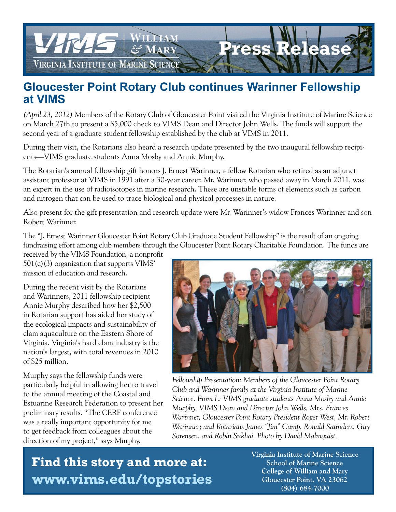

## **Gloucester Point Rotary Club continues Warinner Fellowship at VIMS**

*(April 23, 2012)* Members of the Rotary Club of Gloucester Point visited the Virginia Institute of Marine Science on March 27th to present a \$5,000 check to VIMS Dean and Director John Wells. The funds will support the second year of a graduate student fellowship established by the club at VIMS in 2011.

During their visit, the Rotarians also heard a research update presented by the two inaugural fellowship recipients—VIMS graduate students Anna Mosby and Annie Murphy.

The Rotarian's annual fellowship gift honors J. Ernest Warinner, a fellow Rotarian who retired as an adjunct assistant professor at VIMS in 1991 after a 30-year career. Mr. Warinner, who passed away in March 2011, was an expert in the use of radioisotopes in marine research. These are unstable forms of elements such as carbon and nitrogen that can be used to trace biological and physical processes in nature.

Also present for the gift presentation and research update were Mr. Warinner's widow Frances Warinner and son Robert Warinner.

The "J. Ernest Warinner Gloucester Point Rotary Club Graduate Student Fellowship" is the result of an ongoing fundraising effort among club members through the Gloucester Point Rotary Charitable Foundation. The funds are

received by the VIMS Foundation, a nonprofit 501(c)(3) organization that supports VIMS' mission of education and research.

During the recent visit by the Rotarians and Warinners, 2011 fellowship recipient Annie Murphy described how her \$2,500 in Rotarian support has aided her study of the ecological impacts and sustainability of clam aquaculture on the Eastern Shore of Virginia. Virginia's hard clam industry is the nation's largest, with total revenues in 2010 of \$25 million.

Murphy says the fellowship funds were particularly helpful in allowing her to travel to the annual meeting of the Coastal and Estuarine Research Federation to present her preliminary results. "The CERF conference was a really important opportunity for me to get feedback from colleagues about the direction of my project," says Murphy.



*Fellowship Presentation: Members of the Gloucester Point Rotary Club and Warinner family at the Virginia Institute of Marine Science. From L: VIMS graduate students Anna Mosby and Annie Murphy, VIMS Dean and Director John Wells, Mrs. Frances Warinner, Gloucester Point Rotary President Roger West, Mr. Robert Warinner; and Rotarians James "Jim" Camp, Ronald Saunders, Guy Sorensen, and Robin Sukhai. Photo by David Malmquist.*

 **Find this story and more at: www.vims.edu/topstories**  **Virginia Institute of Marine Science School of Marine Science College of William and Mary Gloucester Point, VA 23062 (804) 684-7000**